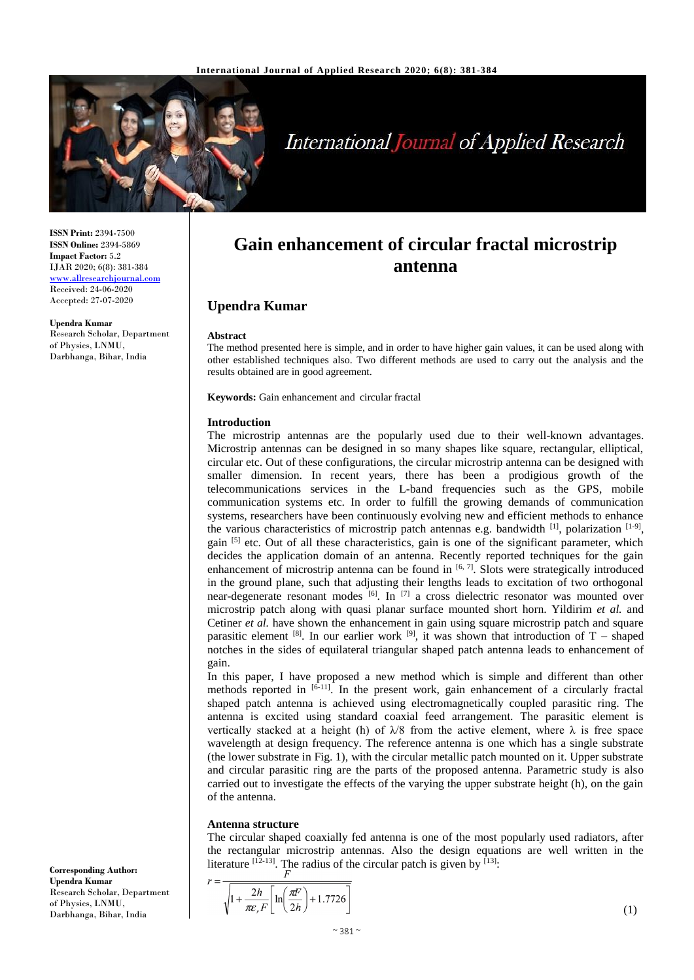

# **International Journal of Applied Research**

**ISSN Print:** 2394-7500 **ISSN Online:** 2394-5869 **Impact Factor:** 5.2 IJAR 2020; 6(8): 381-384 <www.allresearchjournal.com> Received: 24-06-2020 Accepted: 27-07-2020

**Upendra Kumar** Research Scholar, Department of Physics, LNMU, Darbhanga, Bihar, India

## **Gain enhancement of circular fractal microstrip antenna**

### **Upendra Kumar**

#### **Abstract**

The method presented here is simple, and in order to have higher gain values, it can be used along with other established techniques also. Two different methods are used to carry out the analysis and the results obtained are in good agreement.

**Keywords:** Gain enhancement and circular fractal

#### **Introduction**

The microstrip antennas are the popularly used due to their well-known advantages. Microstrip antennas can be designed in so many shapes like square, rectangular, elliptical, circular etc. Out of these configurations, the circular microstrip antenna can be designed with smaller dimension. In recent years, there has been a prodigious growth of the telecommunications services in the L-band frequencies such as the GPS, mobile communication systems etc. In order to fulfill the growing demands of communication systems, researchers have been continuously evolving new and efficient methods to enhance the various characteristics of microstrip patch antennas e.g. bandwidth  $^{[1]}$ , polarization  $^{[1-9]}$ , gain  $[5]$  etc. Out of all these characteristics, gain is one of the significant parameter, which decides the application domain of an antenna. Recently reported techniques for the gain enhancement of microstrip antenna can be found in  $[6, 7]$ . Slots were strategically introduced in the ground plane, such that adjusting their lengths leads to excitation of two orthogonal near-degenerate resonant modes [6]. In [7] a cross dielectric resonator was mounted over microstrip patch along with quasi planar surface mounted short horn. Yildirim *et al.* and Cetiner *et al.* have shown the enhancement in gain using square microstrip patch and square parasitic element <sup>[8]</sup>. In our earlier work <sup>[9]</sup>, it was shown that introduction of T – shaped notches in the sides of equilateral triangular shaped patch antenna leads to enhancement of gain.

In this paper, I have proposed a new method which is simple and different than other methods reported in  $[6-11]$ . In the present work, gain enhancement of a circularly fractal shaped patch antenna is achieved using electromagnetically coupled parasitic ring. The antenna is excited using standard coaxial feed arrangement. The parasitic element is vertically stacked at a height (h) of  $\lambda$ /8 from the active element, where  $\lambda$  is free space wavelength at design frequency. The reference antenna is one which has a single substrate (the lower substrate in Fig. 1), with the circular metallic patch mounted on it. Upper substrate and circular parasitic ring are the parts of the proposed antenna. Parametric study is also carried out to investigate the effects of the varying the upper substrate height (h), on the gain of the antenna.

#### **Antenna structure**

 $r =$ 

The circular shaped coaxially fed antenna is one of the most popularly used radiators, after the rectangular microstrip antennas. Also the design equations are well written in the literature  $[12-13]$ . The radius of the circular patch is given by  $[13]$ .

$$
\overline{\sqrt{1+\frac{2h}{\pi \varepsilon_r F}\left[\ln\left(\frac{\pi F}{2h}\right)+1.7726\right]}}
$$

**Corresponding Author: Upendra Kumar** Research Scholar, Department of Physics, LNMU, Darbhanga, Bihar, India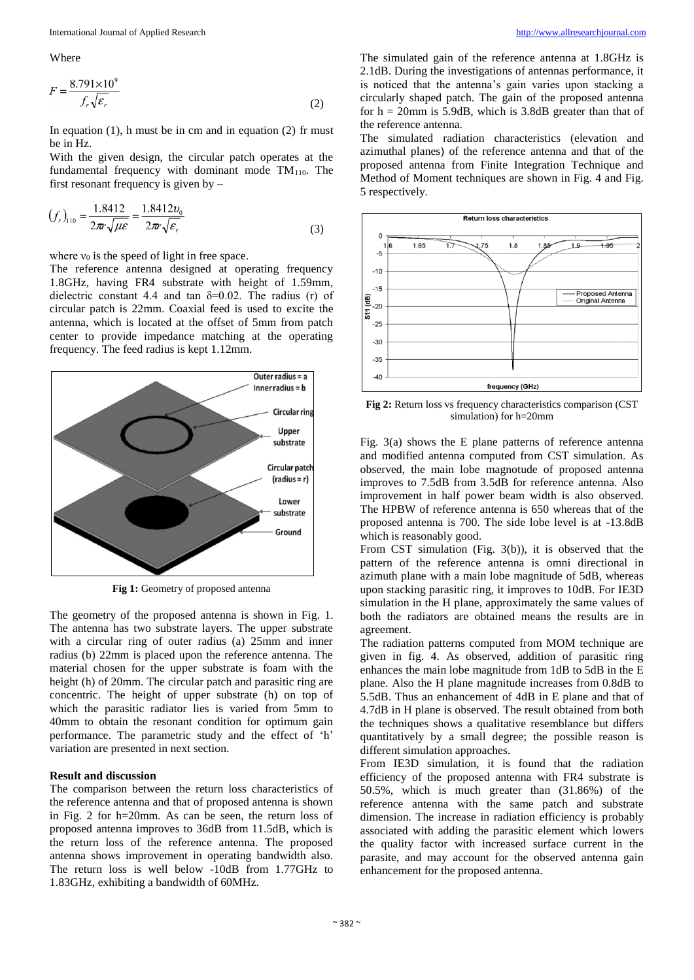Where

$$
F = \frac{8.791 \times 10^9}{f_r \sqrt{\varepsilon_r}}
$$
 (2)

In equation  $(1)$ , h must be in cm and in equation  $(2)$  fr must be in Hz.

With the given design, the circular patch operates at the fundamental frequency with dominant mode  $TM_{110}$ . The first resonant frequency is given by –

$$
(f_r)_{110} = \frac{1.8412}{2\pi r \sqrt{\mu \varepsilon}} = \frac{1.8412 v_0}{2\pi r \sqrt{\varepsilon_r}}
$$
(3)

where  $v_0$  is the speed of light in free space.

The reference antenna designed at operating frequency 1.8GHz, having FR4 substrate with height of 1.59mm, dielectric constant 4.4 and tan  $\delta = 0.02$ . The radius (r) of circular patch is 22mm. Coaxial feed is used to excite the antenna, which is located at the offset of 5mm from patch center to provide impedance matching at the operating frequency. The feed radius is kept 1.12mm.



**Fig 1:** Geometry of proposed antenna

The geometry of the proposed antenna is shown in Fig. 1. The antenna has two substrate layers. The upper substrate with a circular ring of outer radius (a) 25mm and inner radius (b) 22mm is placed upon the reference antenna. The material chosen for the upper substrate is foam with the height (h) of 20mm. The circular patch and parasitic ring are concentric. The height of upper substrate (h) on top of which the parasitic radiator lies is varied from 5mm to 40mm to obtain the resonant condition for optimum gain performance. The parametric study and the effect of 'h' variation are presented in next section.

#### **Result and discussion**

The comparison between the return loss characteristics of the reference antenna and that of proposed antenna is shown in Fig. 2 for h=20mm. As can be seen, the return loss of proposed antenna improves to 36dB from 11.5dB, which is the return loss of the reference antenna. The proposed antenna shows improvement in operating bandwidth also. The return loss is well below -10dB from 1.77GHz to 1.83GHz, exhibiting a bandwidth of 60MHz.

The simulated gain of the reference antenna at 1.8GHz is 2.1dB. During the investigations of antennas performance, it is noticed that the antenna's gain varies upon stacking a circularly shaped patch. The gain of the proposed antenna for  $h = 20$ mm is 5.9dB, which is 3.8dB greater than that of the reference antenna.

The simulated radiation characteristics (elevation and azimuthal planes) of the reference antenna and that of the proposed antenna from Finite Integration Technique and Method of Moment techniques are shown in Fig. 4 and Fig. 5 respectively.



**Fig 2:** Return loss vs frequency characteristics comparison (CST) simulation) for h=20mm

Fig. 3(a) shows the E plane patterns of reference antenna and modified antenna computed from CST simulation. As observed, the main lobe magnotude of proposed antenna improves to 7.5dB from 3.5dB for reference antenna. Also improvement in half power beam width is also observed. The HPBW of reference antenna is 650 whereas that of the proposed antenna is 700. The side lobe level is at -13.8dB which is reasonably good.

From CST simulation (Fig. 3(b)), it is observed that the pattern of the reference antenna is omni directional in azimuth plane with a main lobe magnitude of 5dB, whereas upon stacking parasitic ring, it improves to 10dB. For IE3D simulation in the H plane, approximately the same values of both the radiators are obtained means the results are in agreement.

The radiation patterns computed from MOM technique are given in fig. 4. As observed, addition of parasitic ring enhances the main lobe magnitude from 1dB to 5dB in the E plane. Also the H plane magnitude increases from 0.8dB to 5.5dB. Thus an enhancement of 4dB in E plane and that of 4.7dB in H plane is observed. The result obtained from both the techniques shows a qualitative resemblance but differs quantitatively by a small degree; the possible reason is different simulation approaches.

From IE3D simulation, it is found that the radiation efficiency of the proposed antenna with FR4 substrate is 50.5%, which is much greater than (31.86%) of the reference antenna with the same patch and substrate dimension. The increase in radiation efficiency is probably associated with adding the parasitic element which lowers the quality factor with increased surface current in the parasite, and may account for the observed antenna gain enhancement for the proposed antenna.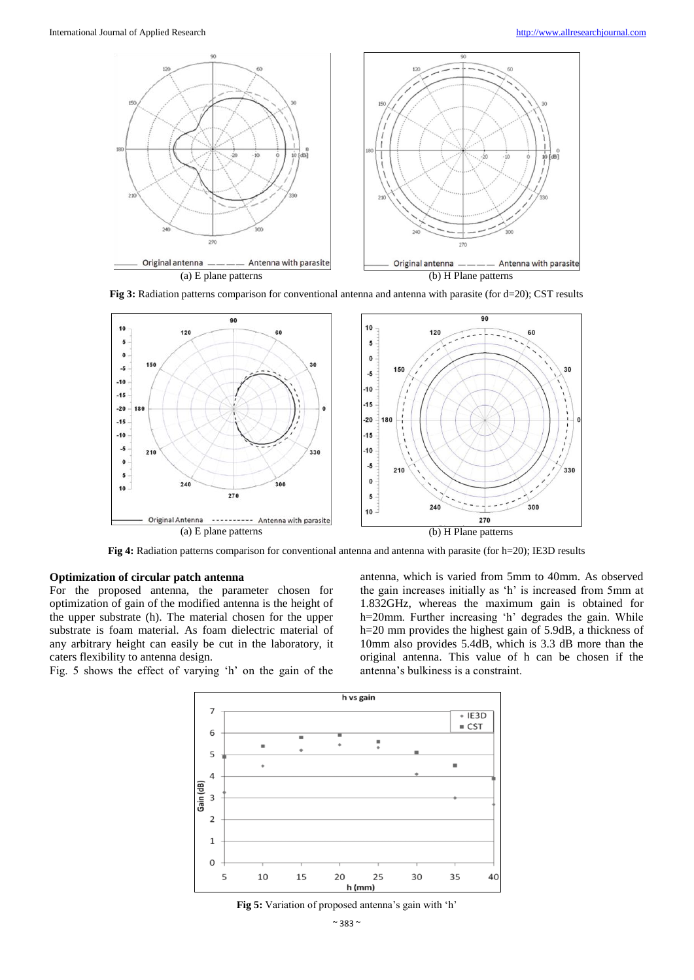

**Fig 3:** Radiation patterns comparison for conventional antenna and antenna with parasite (for d=20); CST results



**Fig 4:** Radiation patterns comparison for conventional antenna and antenna with parasite (for h=20); IE3D results

#### **Optimization of circular patch antenna**

For the proposed antenna, the parameter chosen for optimization of gain of the modified antenna is the height of the upper substrate (h). The material chosen for the upper substrate is foam material. As foam dielectric material of any arbitrary height can easily be cut in the laboratory, it caters flexibility to antenna design.

antenna, which is varied from 5mm to 40mm. As observed the gain increases initially as 'h' is increased from 5mm at 1.832GHz, whereas the maximum gain is obtained for h=20mm. Further increasing 'h' degrades the gain. While h=20 mm provides the highest gain of 5.9dB, a thickness of 10mm also provides 5.4dB, which is 3.3 dB more than the original antenna. This value of h can be chosen if the antenna's bulkiness is a constraint.

Fig. 5 shows the effect of varying 'h' on the gain of the



**Fig 5:** Variation of proposed antenna's gain with 'h'